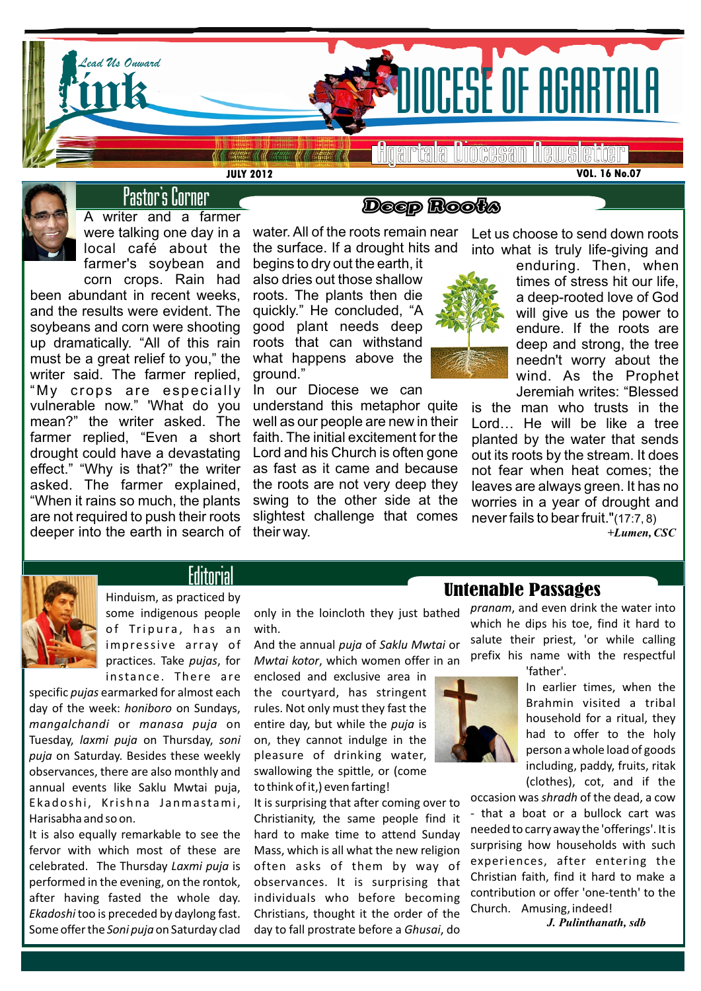

Agartala Diocesan Newsletter

**VOL. 16 No.07**



# Pastor's Corner

**JULY 2012**

A writer and a farmer were talking one day in a local café about the farmer's soybean and corn crops. Rain had

been abundant in recent weeks, and the results were evident. The soybeans and corn were shooting up dramatically. "All of this rain must be a great relief to you," the writer said. The farmer replied, "My crops are especially vulnerable now." 'What do you mean?" the writer asked. The farmer replied, "Even a short drought could have a devastating effect." "Why is that?" the writer asked. The farmer explained, "When it rains so much, the plants are not required to push their roots deeper into the earth in search of

# Deep Roots

water. All of the roots remain near the surface. If a drought hits and begins to dry out the earth, it

also dries out those shallow roots. The plants then die quickly." He concluded, "A good plant needs deep roots that can withstand what happens above the ground."

In our Diocese we can

understand this metaphor quite well as our people are new in their faith. The initial excitement for the Lord and his Church is often gone as fast as it came and because the roots are not very deep they swing to the other side at the slightest challenge that comes their way.



Let us choose to send down roots into what is truly life-giving and

> enduring. Then, when times of stress hit our life, a deep-rooted love of God will give us the power to endure. If the roots are deep and strong, the tree needn't worry about the wind. As the Prophet Jeremiah writes: "Blessed

is the man who trusts in the Lord… He will be like a tree planted by the water that sends out its roots by the stream. It does not fear when heat comes; the leaves are always green. It has no worries in a year of drought and never fails to bear fruit."(17:7, 8)

*+Lumen, CSC*



**Editorial** 

Hinduism, as practiced by some indigenous people of Tripura, has an impressive array of practices. Take *pujas*, for instance. There are

specific *pujas* earmarked for almost each day of the week: *honiboro* on Sundays, *mangalchandi* or *manasa puja* on Tuesday, *laxmi puja* on Thursday, *soni puja* on Saturday. Besides these weekly observances, there are also monthly and annual events like Saklu Mwtai puja, Ekadoshi, Krishna Janmastami, Harisabha and so on.

It is also equally remarkable to see the fervor with which most of these are celebrated. The Thursday *Laxmi puja* is performed in the evening, on the rontok, after having fasted the whole day. *Ekadoshi* too is preceded by daylong fast. Some offer the *Soni puja* on Saturday clad only in the loincloth they just bathed with.

And the annual *puja* of *Saklu Mwtai* or *Mwtai kotor*, which women offer in an

enclosed and exclusive area in the courtyard, has stringent rules. Not only must they fast the entire day, but while the *puja* is on, they cannot indulge in the pleasure of drinking water, swallowing the spittle, or (come to think of it,) even farting!

It is surprising that after coming over to Christianity, the same people find it hard to make time to attend Sunday Mass, which is all what the new religion often asks of them by way of observances. It is surprising that individuals who before becoming Christians, thought it the order of the day to fall prostrate before a *Ghusai*, do

# Untenable Passages

*pranam*, and even drink the water into which he dips his toe, find it hard to salute their priest, 'or while calling prefix his name with the respectful 'father'.

In earlier times, when the Brahmin visited a tribal household for a ritual, they had to offer to the holy person a whole load of goods including, paddy, fruits, ritak (clothes), cot, and if the

occasion was *shradh* of the dead, a cow that a boat or a bullock cart was needed to carry away the 'offerings'. It is surprising how households with such experiences, after entering the Christian faith, find it hard to make a contribution or offer 'one-tenth' to the Church. Amusing, indeed!

*J. Pulinthanath, sdb*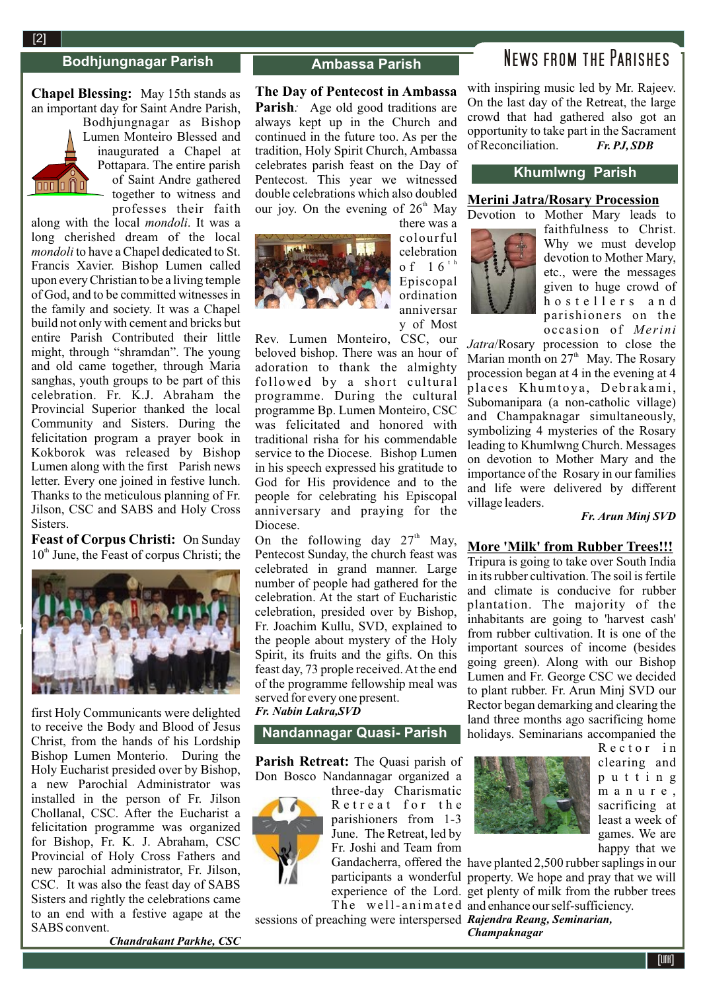**2**[2]

 $\overline{000}0$ 

### **Bodhjungnagar Parish**

### **Chapel Blessing:** May 15th stands as an important day for Saint Andre Parish,

Bodhjungnagar as Bishop Lumen Monteiro Blessed and inaugurated a Chapel at Pottapara. The entire parish of Saint Andre gathered together to witness and professes their faith

along with the local *mondoli*. It was a long cherished dream of the local *mondoli* to have a Chapel dedicated to St. Francis Xavier. Bishop Lumen called upon every Christian to be a living temple of God, and to be committed witnesses in the family and society. It was a Chapel build not only with cement and bricks but entire Parish Contributed their little might, through "shramdan". The young and old came together, through Maria sanghas, youth groups to be part of this celebration. Fr. K.J. Abraham the Provincial Superior thanked the local Community and Sisters. During the felicitation program a prayer book in Kokborok was released by Bishop Lumen along with the first Parish news letter. Every one joined in festive lunch. Thanks to the meticulous planning of Fr. Jilson, CSC and SABS and Holy Cross Sisters.

**Feast of Corpus Christi:** On Sunday  $10<sup>th</sup>$  June, the Feast of corpus Christi; the



first Holy Communicants were delighted to receive the Body and Blood of Jesus Christ, from the hands of his Lordship Bishop Lumen Monterio. During the Holy Eucharist presided over by Bishop, a new Parochial Administrator was installed in the person of Fr. Jilson Chollanal, CSC. After the Eucharist a felicitation programme was organized for Bishop, Fr. K. J. Abraham, CSC Provincial of Holy Cross Fathers and new parochial administrator, Fr. Jilson, CSC. It was also the feast day of SABS Sisters and rightly the celebrations came to an end with a festive agape at the SABS convent.

### **Ambassa Parish**

**The Day of Pentecost in Ambassa Parish***:* Age old good traditions are always kept up in the Church and continued in the future too. As per the tradition, Holy Spirit Church, Ambassa celebrates parish feast on the Day of Pentecost. This year we witnessed double celebrations which also doubled our joy. On the evening of 26<sup>th</sup> May



there was a colourful celebration o f 1 6<sup> $+$  h</sup> Episcopal ordination anniversar y of Most

Rev. Lumen Monteiro, CSC, our beloved bishop. There was an hour of adoration to thank the almighty followed by a short cultural programme. During the cultural programme Bp. Lumen Monteiro, CSC was felicitated and honored with traditional risha for his commendable service to the Diocese. Bishop Lumen in his speech expressed his gratitude to God for His providence and to the people for celebrating his Episcopal anniversary and praying for the Diocese.

On the following day  $27<sup>th</sup>$  May, Pentecost Sunday, the church feast was celebrated in grand manner. Large number of people had gathered for the celebration. At the start of Eucharistic celebration, presided over by Bishop, Fr. Joachim Kullu, SVD, explained to the people about mystery of the Holy Spirit, its fruits and the gifts. On this feast day, 73 prople received. At the end of the programme fellowship meal was served for every one present.

### *Fr. Nabin Lakra,SVD*

## **Nandannagar Quasi- Parish**

**Parish Retreat:** The Quasi parish of Don Bosco Nandannagar organized a



three-day Charismatic Retreat for the parishioners from 1-3 June. The Retreat, led by Fr. Joshi and Team from

sessions of preaching were interspersed *Rajendra Reang, Seminarian,* 

# News from the Parishes

with inspiring music led by Mr. Rajeev. On the last day of the Retreat, the large crowd that had gathered also got an opportunity to take part in the Sacrament of Reconciliation. *Fr. PJ, SDB*

### **Khumlwng Parish**

## **Merini Jatra/Rosary Procession**



Devotion to Mother Mary leads to faithfulness to Christ. Why we must develop devotion to Mother Mary, etc., were the messages given to huge crowd of hostellers and parishioners on the occasion of *Merini*

*Jatra*/Rosary procession to close the Marian month on  $27<sup>th</sup>$  May. The Rosary procession began at 4 in the evening at 4 places Khumtoya, Debrakami, Subomanipara (a non-catholic village) and Champaknagar simultaneously, symbolizing 4 mysteries of the Rosary leading to Khumlwng Church. Messages on devotion to Mother Mary and the importance of the Rosary in our families and life were delivered by different village leaders.

### *Fr. Arun Minj SVD*

### **More 'Milk' from Rubber Trees!!!**

Tripura is going to take over South India in its rubber cultivation. The soil is fertile and climate is conducive for rubber plantation. The majority of the inhabitants are going to 'harvest cash' from rubber cultivation. It is one of the important sources of income (besides going green). Along with our Bishop Lumen and Fr. George CSC we decided to plant rubber. Fr. Arun Minj SVD our Rector began demarking and clearing the land three months ago sacrificing home holidays. Seminarians accompanied the



Rector in clearing and p u t t i n g m a n u r e , sacrificing at least a week of games. We are happy that we

Gandacherra, offered the have planted 2,500 rubber saplings in our participants a wonderful property. We hope and pray that we will experience of the Lord. get plenty of milk from the rubber trees The well-animated and enhance our self-sufficiency. *Champaknagar*

*Chandrakant Parkhe, CSC*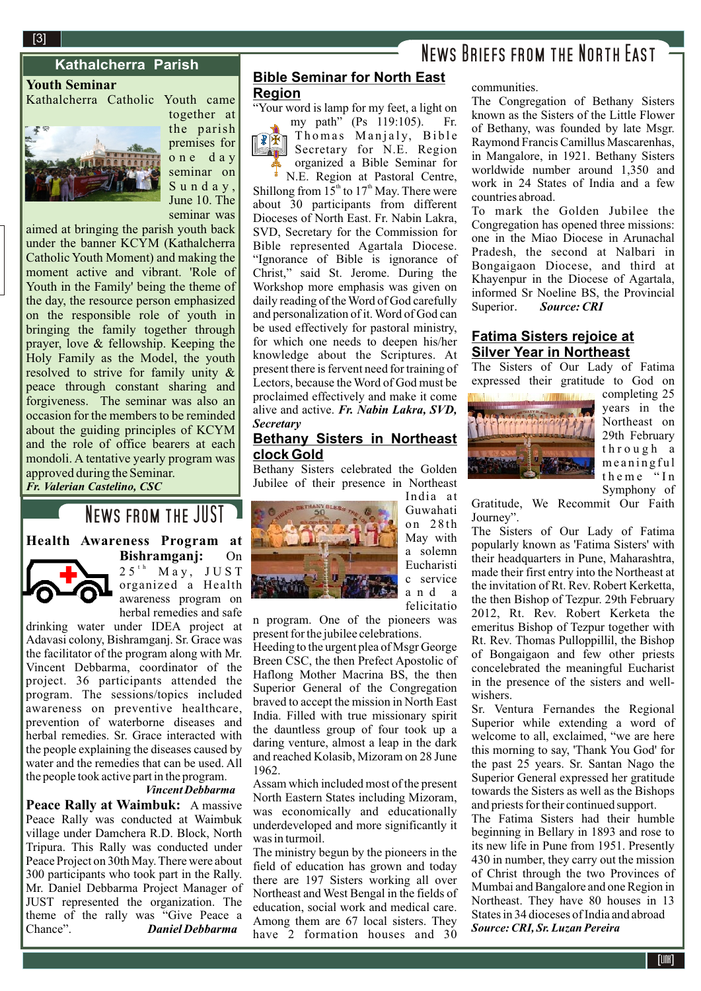## **Kathalcherra Parish**

**Youth Seminar**

Kathalcherra Catholic Youth came



together at the parish premises for o n e d a y seminar on S u n d a y , June 10. The seminar was

aimed at bringing the parish youth back under the banner KCYM (Kathalcherra Catholic Youth Moment) and making the moment active and vibrant. 'Role of Youth in the Family' being the theme of the day, the resource person emphasized on the responsible role of youth in bringing the family together through prayer, love & fellowship. Keeping the Holy Family as the Model, the youth resolved to strive for family unity & peace through constant sharing and forgiveness. The seminar was also an occasion for the members to be reminded about the guiding principles of KCYM and the role of office bearers at each mondoli. A tentative yearly program was approved during the Seminar. *Fr. Valerian Castelino, CSC*

# News from the JUST

**Health Awareness Program at**



**Bishramganj:** On  $2.5$ <sup>th</sup> May, JUST organized a Health awareness program on herbal remedies and safe

drinking water under IDEA project at Adavasi colony, Bishramganj. Sr. Grace was the facilitator of the program along with Mr. Vincent Debbarma, coordinator of the project. 36 participants attended the program. The sessions/topics included awareness on preventive healthcare, prevention of waterborne diseases and herbal remedies. Sr. Grace interacted with the people explaining the diseases caused by water and the remedies that can be used. All the people took active part in the program.

## *Vincent Debbarma*

**Peace Rally at Waimbuk:** A massive Peace Rally was conducted at Waimbuk village under Damchera R.D. Block, North Tripura. This Rally was conducted under Peace Project on 30th May. There were about 300 participants who took part in the Rally. Mr. Daniel Debbarma Project Manager of JUST represented the organization. The theme of the rally was "Give Peace a Chance". *Daniel Debbarma* 

# **Bible Seminar for North East**

### **Region**

"Your word is lamp for my feet, a light on my path" (Ps 119:105). Fr.



 $\widehat{\mathbb{P}(\mathbb{R}\mathbb{N})}$  Thomas Manjaly, Bible Secretary for N.E. Region organized a Bible Seminar for ł N.E. Region at Pastoral Centre,

Shillong from  $15<sup>th</sup>$  to  $17<sup>th</sup>$  May. There were about 30 participants from different Dioceses of North East. Fr. Nabin Lakra, SVD, Secretary for the Commission for Bible represented Agartala Diocese. "Ignorance of Bible is ignorance of Christ," said St. Jerome. During the Workshop more emphasis was given on daily reading of the Word of God carefully and personalization of it. Word of God can be used effectively for pastoral ministry, for which one needs to deepen his/her knowledge about the Scriptures. At present there is fervent need for training of Lectors, because the Word of God must be proclaimed effectively and make it come alive and active. *Fr. Nabin Lakra, SVD, Secretary*

### **Bethany Sisters in Northeast clock Gold**

Bethany Sisters celebrated the Golden Jubilee of their presence in Northeast India at

> Guwahati on 28th May with a solemn Eucharisti c service a n d a felicitatio



n program. One of the pioneers was present for the jubilee celebrations.

Heeding to the urgent plea of Msgr George Breen CSC, the then Prefect Apostolic of Haflong Mother Macrina BS, the then Superior General of the Congregation braved to accept the mission in North East India. Filled with true missionary spirit the dauntless group of four took up a daring venture, almost a leap in the dark and reached Kolasib, Mizoram on 28 June 1962.

Assam which included most of the present North Eastern States including Mizoram, was economically and educationally underdeveloped and more significantly it was in turmoil.

The ministry begun by the pioneers in the field of education has grown and today there are 197 Sisters working all over Northeast and West Bengal in the fields of education, social work and medical care. Among them are 67 local sisters. They have 2 formation houses and 30

# News Briefs from the North East

#### communities.

The Congregation of Bethany Sisters known as the Sisters of the Little Flower of Bethany, was founded by late Msgr. Raymond Francis Camillus Mascarenhas, in Mangalore, in 1921. Bethany Sisters worldwide number around 1,350 and work in 24 States of India and a few countries abroad.

To mark the Golden Jubilee the Congregation has opened three missions: one in the Miao Diocese in Arunachal Pradesh, the second at Nalbari in Bongaigaon Diocese, and third at Khayenpur in the Diocese of Agartala, informed Sr Noeline BS, the Provincial Superior. *Source: CRI*

### **Fatima Sisters rejoice at Silver Year in Northeast**

The Sisters of Our Lady of Fatima expressed their gratitude to God on



completing 25 years in the Northeast on 29th February through a meaningful theme "In Symphony of

Gratitude, We Recommit Our Faith Journey".

The Sisters of Our Lady of Fatima popularly known as 'Fatima Sisters' with their headquarters in Pune, Maharashtra, made their first entry into the Northeast at the invitation of Rt. Rev. Robert Kerketta, the then Bishop of Tezpur. 29th February 2012, Rt. Rev. Robert Kerketa the emeritus Bishop of Tezpur together with Rt. Rev. Thomas Pulloppillil, the Bishop of Bongaigaon and few other priests concelebrated the meaningful Eucharist in the presence of the sisters and wellwishers.

Sr. Ventura Fernandes the Regional Superior while extending a word of welcome to all, exclaimed, "we are here this morning to say, 'Thank You God' for the past 25 years. Sr. Santan Nago the Superior General expressed her gratitude towards the Sisters as well as the Bishops and priests for their continued support.

The Fatima Sisters had their humble beginning in Bellary in 1893 and rose to its new life in Pune from 1951. Presently 430 in number, they carry out the mission of Christ through the two Provinces of Mumbai and Bangalore and one Region in Northeast. They have 80 houses in 13 States in 34 dioceses of India and abroad *Source: CRI, Sr. Luzan Pereira*